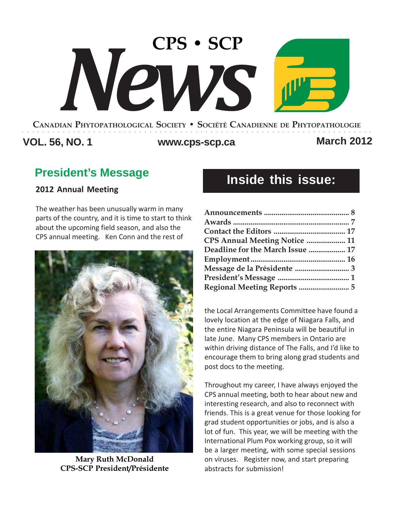# **CPS • SCP** *News*

#### **CANADIAN PHYTOPATHOLOGICAL SOCIETY • SOCIÉTÉ CANADIENNE DE PHYTOPATHOLOGIE** ○○○○○○○○○○○○○○○○○○○○○○○○○○○○○○○○○○○○○○○○○○○○○○○○○○○○○○○○○○○○○○○○○○○○○

# **VOL. 56, NO. 1 www.cps-scp.ca March 2012**

# **President's Message**

# **2012 Annual Meeting**

The weather has been unusually warm in many parts of the country, and it is time to start to think about the upcoming field season, and also the CPS annual meeting. Ken Conn and the rest of



**Mary Ruth McDonald CPS-SCP President/Présidente**

# **Inside this issue:**

| CPS Annual Meeting Notice  11<br>Deadline for the March Issue  17 |  |                                    |  |
|-------------------------------------------------------------------|--|------------------------------------|--|
|                                                                   |  | Message de la Présidente  3        |  |
|                                                                   |  |                                    |  |
|                                                                   |  | <b>Regional Meeting Reports  5</b> |  |

the Local Arrangements Committee have found a lovely location at the edge of Niagara Falls, and the entire Niagara Peninsula will be beautiful in late June. Many CPS members in Ontario are within driving distance of The Falls, and I'd like to encourage them to bring along grad students and post docs to the meeting.

Throughout my career, I have always enjoyed the CPS annual meeting, both to hear about new and interesting research, and also to reconnect with friends. This is a great venue for those looking for grad student opportunities or jobs, and is also a lot of fun. This year, we will be meeting with the International Plum Pox working group, so it will be a larger meeting, with some special sessions on viruses. Register now, and start preparing abstracts for submission!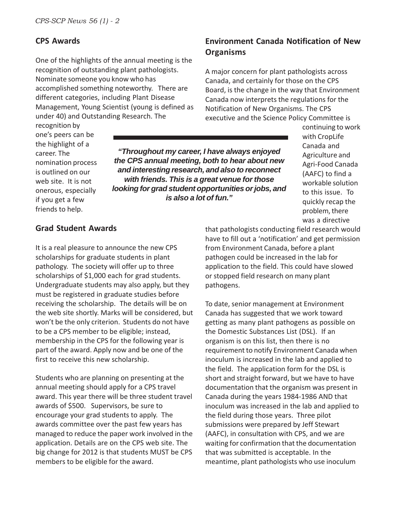# **CPS Awards**

One of the highlights of the annual meeting is the recognition of outstanding plant pathologists. Nominate someone you know who has accomplished something noteworthy. There are different categories, including Plant Disease Management, Young Scientist (young is defined as under 40) and Outstanding Research. The

# **Environment Canada Notification of New Organisms**

A major concern for plant pathologists across Canada, and certainly for those on the CPS Board, is the change in the way that Environment Canada now interprets the regulations for the Notification of New Organisms. The CPS executive and the Science Policy Committee is

recognition by one's peers can be the highlight of a career. The nomination process is outlined on our web site. It is not onerous, especially if you get a few friends to help.

*"Throughout my career, I have always enjoyed the CPS annual meeting, both to hear about new and interesting research, and also to reconnect with friends. This is a great venue for those looking for grad student opportunities or jobs, and is also a lot of fun."*

continuing to work with CropLife Canada and Agriculture and Agri-Food Canada (AAFC) to find a workable solution to this issue. To quickly recap the problem, there was a directive

# **Grad Student Awards**

It is a real pleasure to announce the new CPS scholarships for graduate students in plant pathology. The society will offer up to three scholarships of \$1,000 each for grad students. Undergraduate students may also apply, but they must be registered in graduate studies before receiving the scholarship. The details will be on the web site shortly. Marks will be considered, but won't be the only criterion. Students do not have to be a CPS member to be eligible; instead, membership in the CPS for the following year is part of the award. Apply now and be one of the first to receive this new scholarship.

Students who are planning on presenting at the annual meeting should apply for a CPS travel award. This year there will be three student travel awards of \$500. Supervisors, be sure to encourage your grad students to apply. The awards committee over the past few years has managed to reduce the paper work involved in the application. Details are on the CPS web site. The big change for 2012 is that students MUST be CPS members to be eligible for the award.

that pathologists conducting field research would have to fill out a 'notification' and get permission from Environment Canada, before a plant pathogen could be increased in the lab for application to the field. This could have slowed or stopped field research on many plant pathogens.

To date, senior management at Environment Canada has suggested that we work toward getting as many plant pathogens as possible on the Domestic Substances List (DSL). If an organism is on this list, then there is no requirement to notify Environment Canada when inoculum is increased in the lab and applied to the field. The application form for the DSL is short and straight forward, but we have to have documentation that the organism was present in Canada during the years 1984-1986 AND that inoculum was increased in the lab and applied to the field during those years. Three pilot submissions were prepared by Jeff Stewart (AAFC), in consultation with CPS, and we are waiting for confirmation that the documentation that was submitted is acceptable. In the meantime, plant pathologists who use inoculum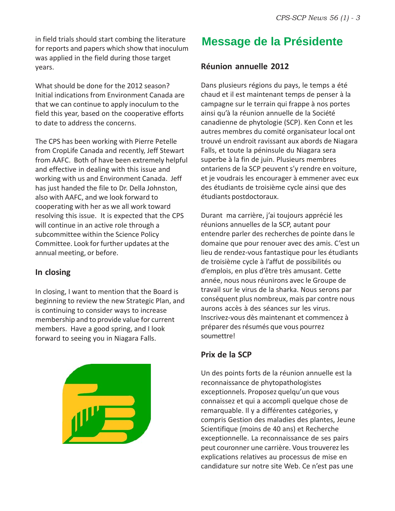in field trials should start combing the literature for reports and papers which show that inoculum was applied in the field during those target years.

What should be done for the 2012 season? Initial indications from Environment Canada are that we can continue to apply inoculum to the field this year, based on the cooperative efforts to date to address the concerns.

The CPS has been working with Pierre Petelle from CropLife Canada and recently, Jeff Stewart from AAFC. Both of have been extremely helpful and effective in dealing with this issue and working with us and Environment Canada. Jeff has just handed the file to Dr. Della Johnston, also with AAFC, and we look forward to cooperating with her as we all work toward resolving this issue. It is expected that the CPS will continue in an active role through a subcommittee within the Science Policy Committee. Look for further updates at the annual meeting, or before.

# **In closing**

In closing, I want to mention that the Board is beginning to review the new Strategic Plan, and is continuing to consider ways to increase membership and to provide value for current members. Have a good spring, and I look forward to seeing you in Niagara Falls.



# **Message de la Présidente**

# **Réunion annuelle 2012**

Dans plusieurs régions du pays, le temps a été chaud et il est maintenant temps de penser à la campagne sur le terrain qui frappe à nos portes ainsi qu'à la réunion annuelle de la Société canadienne de phytologie (SCP). Ken Conn et les autres membres du comité organisateur local ont trouvé un endroit ravissant aux abords de Niagara Falls, et toute la péninsule du Niagara sera superbe à la fin de juin. Plusieurs membres ontariens de la SCP peuvent s'y rendre en voiture, et je voudrais les encourager à emmener avec eux des étudiants de troisième cycle ainsi que des étudiants postdoctoraux.

Durant ma carrière, j'ai toujours apprécié les réunions annuelles de la SCP, autant pour entendre parler des recherches de pointe dans le domaine que pour renouer avec des amis. C'est un lieu de rendez-vous fantastique pour les étudiants de troisième cycle à l'affut de possibilités ou d'emplois, en plus d'être très amusant. Cette année, nous nous réunirons avec le Groupe de travail sur le virus de la sharka. Nous serons par conséquent plus nombreux, mais par contre nous aurons accès à des séances sur les virus. Inscrivez-vous dès maintenant et commencez à préparer des résumés que vous pourrez soumettre!

# **Prix de la SCP**

Un des points forts de la réunion annuelle est la reconnaissance de phytopathologistes exceptionnels. Proposez quelqu'un que vous connaissez et qui a accompli quelque chose de remarquable. Il y a différentes catégories, y compris Gestion des maladies des plantes, Jeune Scientifique (moins de 40 ans) et Recherche exceptionnelle. La reconnaissance de ses pairs peut couronner une carrière. Vous trouverez les explications relatives au processus de mise en candidature sur notre site Web. Ce n'est pas une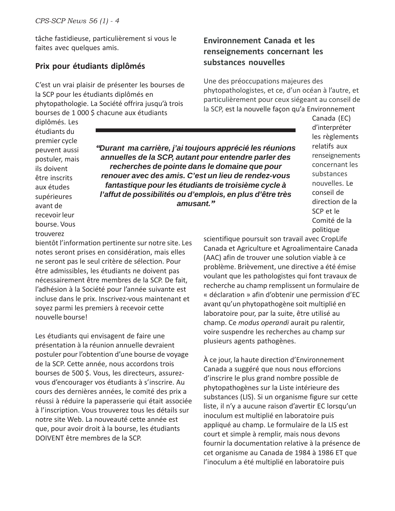tâche fastidieuse, particulièrement si vous le faites avec quelques amis.

# **Prix pour étudiants diplômés**

C'est un vrai plaisir de présenter les bourses de la SCP pour les étudiants diplômés en phytopathologie. La Société offrira jusqu'à trois bourses de 1 000 \$ chacune aux étudiants

# **Environnement Canada et les renseignements concernant les substances nouvelles**

Une des préoccupations majeures des phytopathologistes, et ce, d'un océan à l'autre, et particulièrement pour ceux siégeant au conseil de la SCP, est la nouvelle façon qu'a Environnement

> Canada (EC) d'interpréter les règlements relatifs aux renseignements concernant les substances nouvelles. Le conseil de direction de la SCP et le Comité de la politique

diplômés. Les étudiants du premier cycle peuvent aussi postuler, mais ils doivent être inscrits aux études supérieures avant de recevoir leur bourse. Vous trouverez

*"Durant ma carrière, j'ai toujours apprécié les réunions annuelles de la SCP, autant pour entendre parler des recherches de pointe dans le domaine que pour renouer avec des amis. C'est un lieu de rendez-vous fantastique pour les étudiants de troisième cycle à l'affut de possibilités ou d'emplois, en plus d'être très amusant."*

bientôt l'information pertinente sur notre site. Les notes seront prises en considération, mais elles ne seront pas le seul critère de sélection. Pour être admissibles, les étudiants ne doivent pas nécessairement être membres de la SCP. De fait, l'adhésion à la Société pour l'année suivante est incluse dans le prix. Inscrivez-vous maintenant et soyez parmi les premiers à recevoir cette nouvelle bourse!

Les étudiants qui envisagent de faire une présentation à la réunion annuelle devraient postuler pour l'obtention d'une bourse de voyage de la SCP. Cette année, nous accordons trois bourses de 500 \$. Vous, les directeurs, assurezvous d'encourager vos étudiants à s'inscrire. Au cours des dernières années, le comité des prix a réussi à réduire la paperasserie qui était associée à l'inscription. Vous trouverez tous les détails sur notre site Web. La nouveauté cette année est que, pour avoir droit à la bourse, les étudiants DOIVENT être membres de la SCP.

scientifique poursuit son travail avec CropLife Canada et Agriculture et Agroalimentaire Canada (AAC) afin de trouver une solution viable à ce problème. Brièvement, une directive a été émise voulant que les pathologistes qui font travaux de recherche au champ remplissent un formulaire de « déclaration » afin d'obtenir une permission d'EC avant qu'un phytopathogène soit multiplié en laboratoire pour, par la suite, être utilisé au champ. Ce *modus operandi* aurait pu ralentir, voire suspendre les recherches au champ sur plusieurs agents pathogènes.

À ce jour, la haute direction d'Environnement Canada a suggéré que nous nous efforcions d'inscrire le plus grand nombre possible de phytopathogènes sur la Liste intérieure des substances (LIS). Si un organisme figure sur cette liste, il n'y a aucune raison d'avertir EC lorsqu'un inoculum est multiplié en laboratoire puis appliqué au champ. Le formulaire de la LIS est court et simple à remplir, mais nous devons fournir la documentation relative à la présence de cet organisme au Canada de 1984 à 1986 ET que l'inoculum a été multiplié en laboratoire puis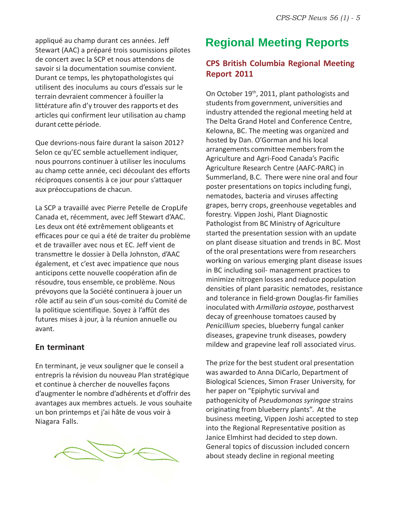appliqué au champ durant ces années. Jeff **Regional Meeting Reports** Stewart (AAC) a préparé trois soumissions pilotes de concert avec la SCP et nous attendons de savoir si la documentation soumise convient. Durant ce temps, les phytopathologistes qui utilisent des inoculums au cours d'essais sur le terrain devraient commencer à fouiller la littérature afin d'y trouver des rapports et des articles qui confirment leur utilisation au champ durant cette période.

Que devrions-nous faire durant la saison 2012? Selon ce qu'EC semble actuellement indiquer, nous pourrons continuer à utiliser les inoculums au champ cette année, ceci découlant des efforts réciproques consentis à ce jour pour s'attaquer aux préoccupations de chacun.

La SCP a travaillé avec Pierre Petelle de CropLife Canada et, récemment, avec Jeff Stewart d'AAC. Les deux ont été extrêmement obligeants et efficaces pour ce qui a été de traiter du problème et de travailler avec nous et EC. Jeff vient de transmettre le dossier à Della Johnston, d'AAC également, et c'est avec impatience que nous anticipons cette nouvelle coopération afin de résoudre, tous ensemble, ce problème. Nous prévoyons que la Société continuera à jouer un rôle actif au sein d'un sous-comité du Comité de la politique scientifique. Soyez à l'affût des futures mises à jour, à la réunion annuelle ou avant.

# **En terminant**

En terminant, je veux souligner que le conseil a entrepris la révision du nouveau Plan stratégique et continue à chercher de nouvelles façons d'augmenter le nombre d'adhérents et d'offrir des avantages aux membres actuels. Je vous souhaite un bon printemps et j'ai hâte de vous voir à Niagara Falls.



# **CPS British Columbia Regional Meeting Report 2011**

On October 19th, 2011, plant pathologists and students from government, universities and industry attended the regional meeting held at The Delta Grand Hotel and Conference Centre, Kelowna, BC. The meeting was organized and hosted by Dan. O'Gorman and his local arrangements committee members from the Agriculture and Agri-Food Canada's Pacific Agriculture Research Centre (AAFC-PARC) in Summerland, B.C. There were nine oral and four poster presentations on topics including fungi, nematodes, bacteria and viruses affecting grapes, berry crops, greenhouse vegetables and forestry. Vippen Joshi, Plant Diagnostic Pathologist from BC Ministry of Agriculture started the presentation session with an update on plant disease situation and trends in BC. Most of the oral presentations were from researchers working on various emerging plant disease issues in BC including soil- management practices to minimize nitrogen losses and reduce population densities of plant parasitic nematodes, resistance and tolerance in field-grown Douglas-fir families inoculated with *Armillaria ostoyae*, postharvest decay of greenhouse tomatoes caused by *Penicillium* species, blueberry fungal canker diseases, grapevine trunk diseases, powdery mildew and grapevine leaf roll associated virus.

The prize for the best student oral presentation was awarded to Anna DiCarlo, Department of Biological Sciences, Simon Fraser University, for her paper on "Epiphytic survival and pathogenicity of *Pseudomonas syringae* strains originating from blueberry plants". At the business meeting, Vippen Joshi accepted to step into the Regional Representative position as Janice Elmhirst had decided to step down. General topics of discussion included concern about steady decline in regional meeting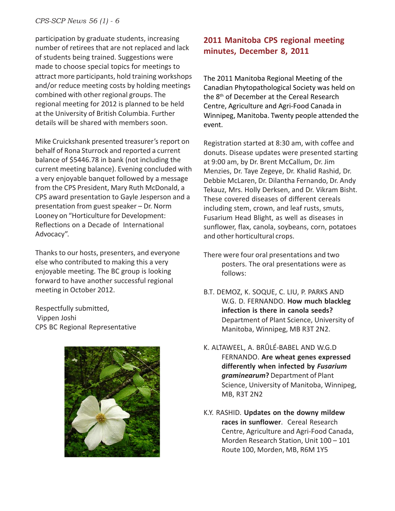attract more participants, hold training workshops and/or reduce meeting costs by holding meetings combined with other regional groups. The regional meeting for 2012 is planned to be held at the University of British Columbia. Further details will be shared with members soon. participation by graduate students, increasing number of retirees that are not replaced and lack of students being trained. Suggestions were made to choose special topics for meetings to

Mike Cruickshank presented treasurer's report on behalf of Rona Sturrock and reported a current balance of \$5446.78 in bank (not including the current meeting balance). Evening concluded with a very enjoyable banquet followed by a message from the CPS President, Mary Ruth McDonald, a CPS award presentation to Gayle Jesperson and a presentation from guest speaker – Dr. Norm Looney on "Horticulture for Development: Reflections on a Decade of International Advocacy".

Thanks to our hosts, presenters, and everyone else who contributed to making this a very enjoyable meeting. The BC group is looking forward to have another successful regional meeting in October 2012.

Respectfully submitted, Vippen Joshi CPS BC Regional Representative



# **2011 Manitoba CPS regional meeting minutes, December 8, 2011**

The 2011 Manitoba Regional Meeting of the Canadian Phytopathological Society was held on the 8<sup>th</sup> of December at the Cereal Research Centre, Agriculture and Agri-Food Canada in Winnipeg, Manitoba. Twenty people attended the event.

Registration started at 8:30 am, with coffee and donuts. Disease updates were presented starting at 9:00 am, by Dr. Brent McCallum, Dr. Jim Menzies, Dr. Taye Zegeye, Dr. Khalid Rashid, Dr. Debbie McLaren, Dr. Dilantha Fernando, Dr. Andy Tekauz, Mrs. Holly Derksen, and Dr. Vikram Bisht. These covered diseases of different cereals including stem, crown, and leaf rusts, smuts, Fusarium Head Blight, as well as diseases in sunflower, flax, canola, soybeans, corn, potatoes and other horticultural crops.

- There were four oral presentations and two posters. The oral presentations were as follows:
- B.T. DEMOZ, K. SOQUE, C. LIU, P. PARKS AND W.G. D. FERNANDO. **How much blackleg infection is there in canola seeds?** Department of Plant Science, University of Manitoba, Winnipeg, MB R3T 2N2.
- K. ALTAWEEL, A. BRÛLÉ-BABEL AND W.G.D FERNANDO. **Are wheat genes expressed differently when infected by** *Fusarium graminearum***?** Department of Plant Science, University of Manitoba, Winnipeg, MB, R3T 2N2
- K.Y. RASHID. **Updates on the downy mildew races in sunflower**. Cereal Research Centre, Agriculture and Agri-Food Canada, Morden Research Station, Unit 100 – 101 Route 100, Morden, MB, R6M 1Y5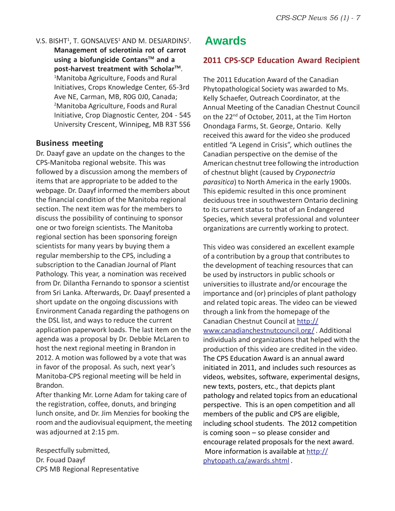V.S. BISHT<sup>1</sup>, T. GONSALVES<sup>1</sup> AND M. DESJARDINS<sup>2</sup>. **Management of sclerotinia rot of carrot using a biofungicide ContansTM and a** post-harvest treatment with Scholar<sup>™</sup>. 1 Manitoba Agriculture, Foods and Rural Initiatives, Crops Knowledge Center, 65-3rd Ave NE, Carman, MB, R0G 0J0, Canada; 2 Manitoba Agriculture, Foods and Rural Initiative, Crop Diagnostic Center, 204 - 545 University Crescent, Winnipeg, MB R3T 5S6

# **Business meeting**

Dr. Daayf gave an update on the changes to the CPS-Manitoba regional website. This was followed by a discussion among the members of items that are appropriate to be added to the webpage. Dr. Daayf informed the members about the financial condition of the Manitoba regional section. The next item was for the members to discuss the possibility of continuing to sponsor one or two foreign scientists. The Manitoba regional section has been sponsoring foreign scientists for many years by buying them a regular membership to the CPS, including a subscription to the Canadian Journal of Plant Pathology. This year, a nomination was received from Dr. Dilantha Fernando to sponsor a scientist from Sri Lanka. Afterwards, Dr. Daayf presented a short update on the ongoing discussions with Environment Canada regarding the pathogens on the DSL list, and ways to reduce the current application paperwork loads. The last item on the agenda was a proposal by Dr. Debbie McLaren to host the next regional meeting in Brandon in 2012. A motion was followed by a vote that was in favor of the proposal. As such, next year's Manitoba-CPS regional meeting will be held in Brandon.

After thanking Mr. Lorne Adam for taking care of the registration, coffee, donuts, and bringing lunch onsite, and Dr. Jim Menzies for booking the room and the audiovisual equipment, the meeting was adjourned at 2:15 pm.

Respectfully submitted, Dr. Fouad Daayf CPS MB Regional Representative

# **Awards**

# **2011 CPS-SCP Education Award Recipient**

The 2011 Education Award of the Canadian Phytopathological Society was awarded to Ms. Kelly Schaefer, Outreach Coordinator, at the Annual Meeting of the Canadian Chestnut Council on the 22<sup>nd</sup> of October, 2011, at the Tim Horton Onondaga Farms, St. George, Ontario. Kelly received this award for the video she produced entitled "A Legend in Crisis", which outlines the Canadian perspective on the demise of the American chestnut tree following the introduction of chestnut blight (caused by *Cryponectria parasitica*) to North America in the early 1900s. This epidemic resulted in this once prominent deciduous tree in southwestern Ontario declining to its current status to that of an Endangered Species, which several professional and volunteer organizations are currently working to protect.

This video was considered an excellent example of a contribution by a group that contributes to the development of teaching resources that can be used by instructors in public schools or universities to illustrate and/or encourage the importance and (or) principles of plant pathology and related topic areas. The video can be viewed through a link from the homepage of the Canadian Chestnut Council at http:// www.canadianchestnutcouncil.org/ . Additional individuals and organizations that helped with the production of this video are credited in the video. The CPS Education Award is an annual award initiated in 2011, and includes such resources as videos, websites, software, experimental designs, new texts, posters, etc., that depicts plant pathology and related topics from an educational perspective. This is an open competition and all members of the public and CPS are eligible, including school students. The 2012 competition is coming soon – so please consider and encourage related proposals for the next award. More information is available at http:// phytopath.ca/awards.shtml .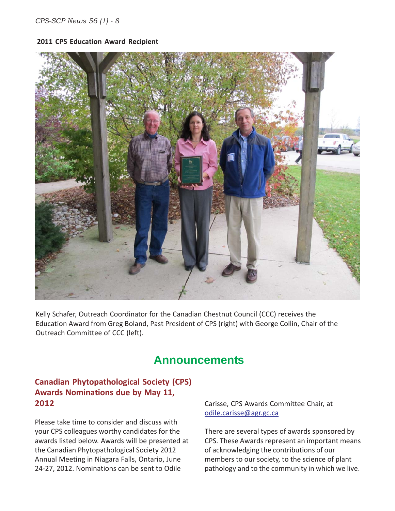#### **2011 CPS Education Award Recipient**



Kelly Schafer, Outreach Coordinator for the Canadian Chestnut Council (CCC) receives the Education Award from Greg Boland, Past President of CPS (right) with George Collin, Chair of the Outreach Committee of CCC (left).

# **Announcements**

# **Canadian Phytopathological Society (CPS) Awards Nominations due by May 11, 2012**

Please take time to consider and discuss with your CPS colleagues worthy candidates for the awards listed below. Awards will be presented at the Canadian Phytopathological Society 2012 Annual Meeting in Niagara Falls, Ontario, June 24-27, 2012. Nominations can be sent to Odile

Carisse, CPS Awards Committee Chair, at odile.carisse@agr.gc.ca

There are several types of awards sponsored by CPS. These Awards represent an important means of acknowledging the contributions of our members to our society, to the science of plant pathology and to the community in which we live.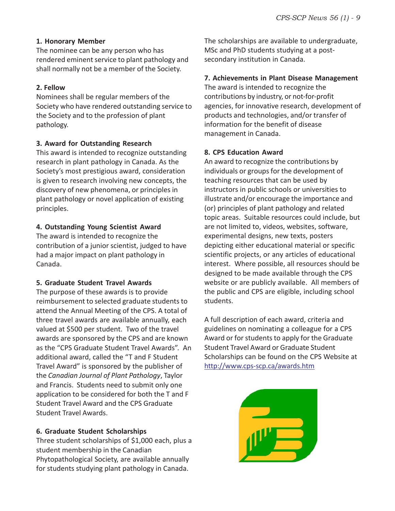# **1. Honorary Member**

The nominee can be any person who has rendered eminent service to plant pathology and shall normally not be a member of the Society.

# **2. Fellow**

Nominees shall be regular members of the Society who have rendered outstanding service to the Society and to the profession of plant pathology.

# **3. Award for Outstanding Research**

This award is intended to recognize outstanding research in plant pathology in Canada. As the Society's most prestigious award, consideration is given to research involving new concepts, the discovery of new phenomena, or principles in plant pathology or novel application of existing principles.

# **4. Outstanding Young Scientist Award**

The award is intended to recognize the contribution of a junior scientist, judged to have had a major impact on plant pathology in Canada.

# **5. Graduate Student Travel Awards**

The purpose of these awards is to provide reimbursement to selected graduate students to attend the Annual Meeting of the CPS. A total of three travel awards are available annually, each valued at \$500 per student. Two of the travel awards are sponsored by the CPS and are known as the "CPS Graduate Student Travel Awards". An additional award, called the "T and F Student Travel Award" is sponsored by the publisher of the *Canadian Journal of Plant Pathology*, Taylor and Francis. Students need to submit only one application to be considered for both the T and F Student Travel Award and the CPS Graduate Student Travel Awards.

# **6. Graduate Student Scholarships**

Three student scholarships of \$1,000 each, plus a student membership in the Canadian Phytopathological Society, are available annually for students studying plant pathology in Canada.

The scholarships are available to undergraduate, MSc and PhD students studying at a postsecondary institution in Canada.

# **7. Achievements in Plant Disease Management**

The award is intended to recognize the contributions by industry, or not-for-profit agencies, for innovative research, development of products and technologies, and/or transfer of information for the benefit of disease management in Canada.

# **8. CPS Education Award**

An award to recognize the contributions by individuals or groups for the development of teaching resources that can be used by instructors in public schools or universities to illustrate and/or encourage the importance and (or) principles of plant pathology and related topic areas. Suitable resources could include, but are not limited to, videos, websites, software, experimental designs, new texts, posters depicting either educational material or specific scientific projects, or any articles of educational interest. Where possible, all resources should be designed to be made available through the CPS website or are publicly available. All members of the public and CPS are eligible, including school students.

A full description of each award, criteria and guidelines on nominating a colleague for a CPS Award or for students to apply for the Graduate Student Travel Award or Graduate Student Scholarships can be found on the CPS Website at http://www.cps-scp.ca/awards.htm

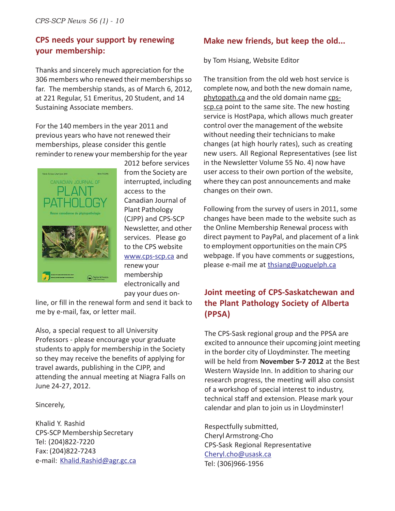# **CPS needs your support by renewing your membership:**

Thanks and sincerely much appreciation for the 306 members who renewed their memberships so far. The membership stands, as of March 6, 2012, at 221 Regular, 51 Emeritus, 20 Student, and 14 Sustaining Associate members.

For the 140 members in the year 2011 and previous years who have not renewed their memberships, please consider this gentle reminder to renew your membership for the year



2012 before services from the Society are interrupted, including access to the Canadian Journal of Plant Pathology (CJPP) and CPS-SCP Newsletter, and other services. Please go to the CPS website www.cps-scp.ca and renew your membership electronically and pay your dues on-

line, or fill in the renewal form and send it back to me by e-mail, fax, or letter mail.

Also, a special request to all University Professors - please encourage your graduate students to apply for membership in the Society so they may receive the benefits of applying for travel awards, publishing in the CJPP, and attending the annual meeting at Niagra Falls on June 24-27, 2012.

Sincerely,

Khalid Y. Rashid CPS-SCP Membership Secretary Tel: (204)822-7220 Fax: (204)822-7243 e-mail: Khalid.Rashid@agr.gc.ca

# **Make new friends, but keep the old...**

by Tom Hsiang, Website Editor

The transition from the old web host service is complete now, and both the new domain name, phytopath.ca and the old domain name cpsscp.ca point to the same site. The new hosting service is HostPapa, which allows much greater control over the management of the website without needing their technicians to make changes (at high hourly rates), such as creating new users. All Regional Representatives (see list in the Newsletter Volume 55 No. 4) now have user access to their own portion of the website, where they can post announcements and make changes on their own.

Following from the survey of users in 2011, some changes have been made to the website such as the Online Membership Renewal process with direct payment to PayPal, and placement of a link to employment opportunities on the main CPS webpage. If you have comments or suggestions, please e-mail me at thsiang@uoguelph.ca

# **Joint meeting of CPS-Saskatchewan and the Plant Pathology Society of Alberta (PPSA)**

The CPS-Sask regional group and the PPSA are excited to announce their upcoming joint meeting in the border city of Lloydminster. The meeting will be held from **November 5-7 2012** at the Best Western Wayside Inn. In addition to sharing our research progress, the meeting will also consist of a workshop of special interest to industry, technical staff and extension. Please mark your calendar and plan to join us in Lloydminster!

Respectfully submitted, Cheryl Armstrong-Cho CPS-Sask Regional Representative Cheryl.cho@usask.ca Tel: (306)966-1956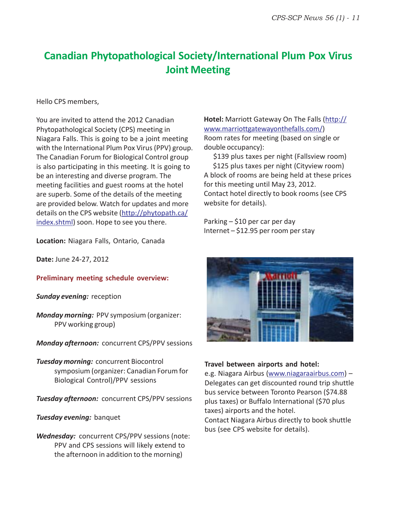# **Canadian Phytopathological Society/International Plum Pox Virus Joint Meeting**

#### Hello CPS members,

You are invited to attend the 2012 Canadian Phytopathological Society (CPS) meeting in Niagara Falls. This is going to be a joint meeting with the International Plum Pox Virus (PPV) group. The Canadian Forum for Biological Control group is also participating in this meeting. It is going to be an interesting and diverse program. The meeting facilities and guest rooms at the hotel are superb. Some of the details of the meeting are provided below. Watch for updates and more details on the CPS website (http://phytopath.ca/ index.shtml) soon. Hope to see you there.

**Location:** Niagara Falls, Ontario, Canada

**Date:** June 24-27, 2012

# **Preliminary meeting schedule overview:**

*Sunday evening:* reception

*Monday morning:* PPV symposium (organizer: PPV working group)

*Monday afternoon:* concurrent CPS/PPV sessions

*Tuesday morning:* concurrent Biocontrol symposium (organizer: Canadian Forum for Biological Control)/PPV sessions

**Tuesday afternoon: concurrent CPS/PPV** sessions

**Tuesday evening:** banquet

*Wednesday:* concurrent CPS/PPV sessions (note: PPV and CPS sessions will likely extend to the afternoon in addition to the morning)

**Hotel:** Marriott Gateway On The Falls (http:// www.marriottgatewayonthefalls.com/) Room rates for meeting (based on single or double occupancy):

 \$139 plus taxes per night (Fallsview room) \$125 plus taxes per night (Cityview room) A block of rooms are being held at these prices for this meeting until May 23, 2012. Contact hotel directly to book rooms (see CPS website for details).

Parking – \$10 per car per day Internet – \$12.95 per room per stay



#### **Travel between airports and hotel:**

e.g. Niagara Airbus (www.niagaraairbus.com) – Delegates can get discounted round trip shuttle bus service between Toronto Pearson (\$74.88 plus taxes) or Buffalo International (\$70 plus taxes) airports and the hotel.

Contact Niagara Airbus directly to book shuttle bus (see CPS website for details).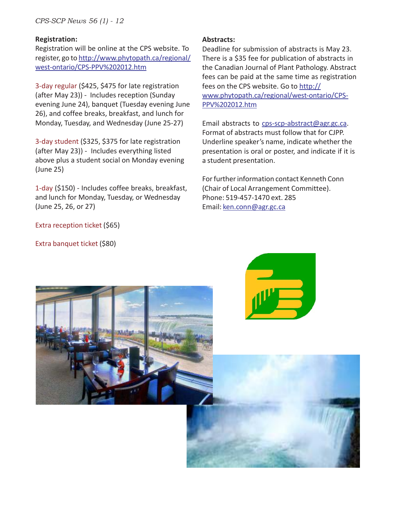*CPS-SCP News 56 (1) - 12*

#### **Registration:**

Registration will be online at the CPS website. To register, go to http://www.phytopath.ca/regional/ west-ontario/CPS-PPV%202012.htm

3-day regular (\$425, \$475 for late registration (after May 23)) - Includes reception (Sunday evening June 24), banquet (Tuesday evening June 26), and coffee breaks, breakfast, and lunch for Monday, Tuesday, and Wednesday (June 25-27)

3-day student (\$325, \$375 for late registration (after May 23)) - Includes everything listed above plus a student social on Monday evening (June 25)

1-day (\$150) - Includes coffee breaks, breakfast, and lunch for Monday, Tuesday, or Wednesday (June 25, 26, or 27)

Extra reception ticket (\$65)

Extra banquet ticket (\$80)

#### **Abstracts:**

Deadline for submission of abstracts is May 23. There is a \$35 fee for publication of abstracts in the Canadian Journal of Plant Pathology. Abstract fees can be paid at the same time as registration fees on the CPS website. Go to http:// www.phytopath.ca/regional/west-ontario/CPS-PPV%202012.htm

Email abstracts to cps-scp-abstract@agr.gc.ca. Format of abstracts must follow that for CJPP. Underline speaker's name, indicate whether the presentation is oral or poster, and indicate if it is a student presentation.

For further information contact Kenneth Conn (Chair of Local Arrangement Committee). Phone: 519-457-1470 ext. 285 Email: ken.conn@agr.gc.ca





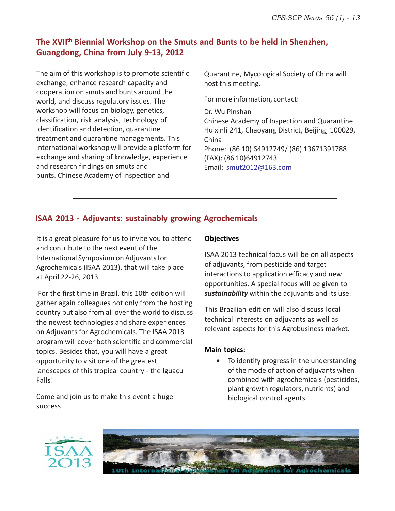# The XVII<sup>th</sup> Biennial Workshop on the Smuts and Bunts to be held in Shenzhen, **Guangdong, China from July 9-13, 2012**

The aim of this workshop is to promote scientific exchange, enhance research capacity and cooperation on smuts and bunts around the world, and discuss regulatory issues. The workshop will focus on biology, genetics, classification, risk analysis, technology of identification and detection, quarantine treatment and quarantine managements. This international workshop will provide a platform for exchange and sharing of knowledge, experience and research findings on smuts and bunts. Chinese Academy of Inspection and

Quarantine, Mycological Society of China will host this meeting.

For more information, contact:

Dr. Wu Pinshan Chinese Academy of Inspection and Quarantine Huixinli 241, Chaoyang District, Beijing, 100029, China Phone: (86 10) 64912749/ (86) 13671391788 (FAX): (86 10)64912743 Email: smut2012@163.com

# **ISAA 2013 - Adjuvants: sustainably growing Agrochemicals**

It is a great pleasure for us to invite you to attend and contribute to the next event of the International Symposium on Adjuvants for Agrochemicals (ISAA 2013), that will take place at April 22-26, 2013.

 For the first time in Brazil, this 10th edition will gather again colleagues not only from the hosting country but also from all over the world to discuss the newest technologies and share experiences on Adjuvants for Agrochemicals. The ISAA 2013 program will cover both scientific and commercial topics. Besides that, you will have a great opportunity to visit one of the greatest landscapes of this tropical country - the Iguaçu Falls!

Come and join us to make this event a huge success.

# **Objectives**

ISAA 2013 technical focus will be on all aspects of adjuvants, from pesticide and target interactions to application efficacy and new opportunities. A special focus will be given to *sustainability* within the adjuvants and its use.

This Brazilian edition will also discuss local technical interests on adjuvants as well as relevant aspects for this Agrobusiness market.

# **Main topics:**

• To identify progress in the understanding of the mode of action of adjuvants when combined with agrochemicals (pesticides, plant growth regulators, nutrients) and biological control agents.



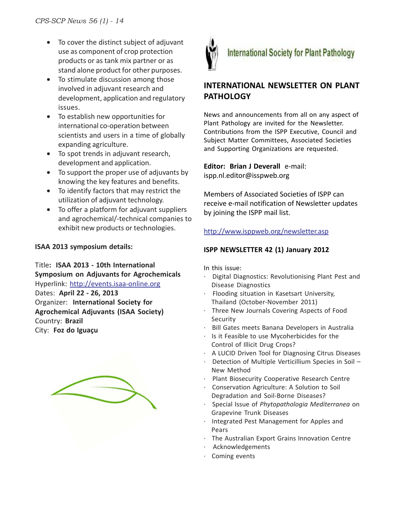- To cover the distinct subject of adjuvant use as component of crop protection products or as tank mix partner or as stand alone product for other purposes.
- To stimulate discussion among those involved in adjuvant research and development, application and regulatory issues.
- To establish new opportunities for international co-operation between scientists and users in a time of globally expanding agriculture.
- To spot trends in adjuvant research, development and application.
- To support the proper use of adjuvants by knowing the key features and benefits.
- To identify factors that may restrict the utilization of adjuvant technology.
- To offer a platform for adjuvant suppliers and agrochemical/-technical companies to exhibit new products or technologies.

# **ISAA 2013 symposium details:**

Title**: ISAA 2013 - 10th International Symposium on Adjuvants for Agrochemicals** Hyperlink: http://events.isaa-online.org Dates: **April 22 - 26, 2013** Organizer: **International Society for Agrochemical Adjuvants (ISAA Society)** Country: **Brazil** City: **Foz do Iguaçu**





# **INTERNATIONAL NEWSLETTER ON PLANT PATHOLOGY**

News and announcements from all on any aspect of Plant Pathology are invited for the Newsletter. Contributions from the ISPP Executive, Council and Subject Matter Committees, Associated Societies and Supporting Organizations are requested.

**Editor: Brian J Deverall** e-mail: ispp.nl.editor@isspweb.org

Members of Associated Societies of ISPP can receive e-mail notification of Newsletter updates by joining the ISPP mail list.

# http://www.isppweb.org/newsletter.asp

# **ISPP NEWSLETTER 42 (1) January 2012**

In this issue:

- · Digital Diagnostics: Revolutionising Plant Pest and Disease Diagnostics
- · Flooding situation in Kasetsart University, Thailand (October-November 2011)
- · Three New Journals Covering Aspects of Food Security
- Bill Gates meets Banana Developers in Australia
- · Is it Feasible to use Mycoherbicides for the Control of Illicit Drug Crops?
- · A LUCID Driven Tool for Diagnosing Citrus Diseases
- Detection of Multiple Verticillium Species in Soil -New Method
- · Plant Biosecurity Cooperative Research Centre
- · Conservation Agriculture: A Solution to Soil Degradation and Soil-Borne Diseases?
- · Special Issue of *Phytopathologia Mediterranea* on Grapevine Trunk Diseases
- · Integrated Pest Management for Apples and Pears
- · The Australian Export Grains Innovation Centre
- **Acknowledgements**
- · Coming events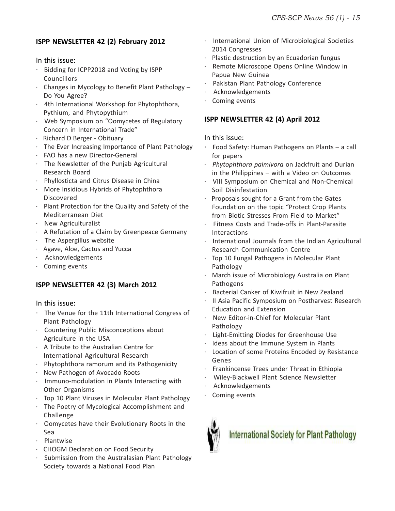# **ISPP NEWSLETTER 42 (2) February 2012**

In this issue:

- · Bidding for ICPP2018 and Voting by ISPP Councillors
- · Changes in Mycology to Benefit Plant Pathology Do You Agree?
- · 4th International Workshop for Phytophthora, Pythium, and Phytopythium
- · Web Symposium on "Oomycetes of Regulatory Concern in International Trade"
- · Richard D Berger Obituary
- · The Ever Increasing Importance of Plant Pathology
- · FAO has a new Director-General
- · The Newsletter of the Punjab Agricultural Research Board
- · Phyllosticta and Citrus Disease in China
- · More Insidious Hybrids of Phytophthora Discovered
- · Plant Protection for the Quality and Safety of the Mediterranean Diet
- · New Agriculturalist
- · A Refutation of a Claim by Greenpeace Germany
- · The Aspergillus website
- · Agave, Aloe, Cactus and Yucca
- · Acknowledgements
- · Coming events

# **ISPP NEWSLETTER 42 (3) March 2012**

In this issue:

- · The Venue for the 11th International Congress of Plant Pathology
- · Countering Public Misconceptions about Agriculture in the USA
- · A Tribute to the Australian Centre for International Agricultural Research
- · Phytophthora ramorum and its Pathogenicity
- · New Pathogen of Avocado Roots
- · Immuno-modulation in Plants Interacting with Other Organisms
- · Top 10 Plant Viruses in Molecular Plant Pathology
- · The Poetry of Mycological Accomplishment and Challenge
- · Oomycetes have their Evolutionary Roots in the Sea
- · Plantwise
- · CHOGM Declaration on Food Security
- Submission from the Australasian Plant Pathology Society towards a National Food Plan
- · International Union of Microbiological Societies 2014 Congresses
- · Plastic destruction by an Ecuadorian fungus
- Remote Microscope Opens Online Window in Papua New Guinea
- Pakistan Plant Pathology Conference
- **Acknowledgements**
- · Coming events

# **ISPP NEWSLETTER 42 (4) April 2012**

In this issue:

- · Food Safety: Human Pathogens on Plants a call for papers
- · *Phytophthora palmivora* on Jackfruit and Durian in the Philippines – with a Video on Outcomes
- · VIII Symposium on Chemical and Non-Chemical Soil Disinfestation
- Proposals sought for a Grant from the Gates Foundation on the topic "Protect Crop Plants from Biotic Stresses From Field to Market"
- · Fitness Costs and Trade-offs in Plant-Parasite Interactions
- · International Journals from the Indian Agricultural Research Communication Centre
- · Top 10 Fungal Pathogens in Molecular Plant Pathology
- · March issue of Microbiology Australia on Plant Pathogens
- Bacterial Canker of Kiwifruit in New Zealand
- II Asia Pacific Symposium on Postharvest Research Education and Extension
- · New Editor-in-Chief for Molecular Plant Pathology
- Light-Emitting Diodes for Greenhouse Use
- Ideas about the Immune System in Plants
- Location of some Proteins Encoded by Resistance Genes
- · Frankincense Trees under Threat in Ethiopia
- · Wiley-Blackwell Plant Science Newsletter
- **Acknowledgements**
- Coming events



# **International Society for Plant Pathology**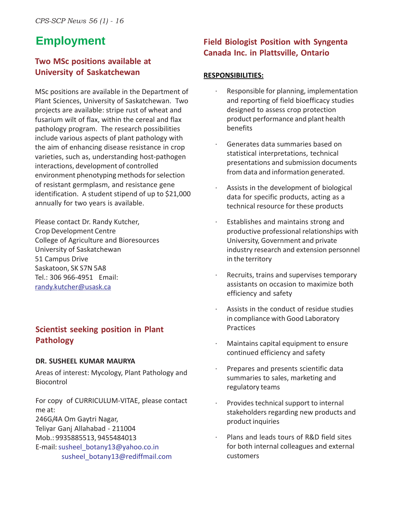# **Employment**

# **Two MSc positions available at University of Saskatchewan**

MSc positions are available in the Department of Plant Sciences, University of Saskatchewan. Two projects are available: stripe rust of wheat and fusarium wilt of flax, within the cereal and flax pathology program. The research possibilities include various aspects of plant pathology with the aim of enhancing disease resistance in crop varieties, such as, understanding host-pathogen interactions, development of controlled environment phenotyping methods for selection of resistant germplasm, and resistance gene identification. A student stipend of up to \$21,000 annually for two years is available.

Please contact Dr. Randy Kutcher, Crop Development Centre College of Agriculture and Bioresources University of Saskatchewan 51 Campus Drive Saskatoon, SK S7N 5A8 Tel.: 306 966-4951 Email: randy.kutcher@usask.ca

# **Scientist seeking position in Plant Pathology**

# **DR. SUSHEEL KUMAR MAURYA**

Areas of interest: Mycology, Plant Pathology and **Biocontrol** 

For copy of CURRICULUM-VITAE, please contact me at:

246G/4A Om Gaytri Nagar,

Teliyar Ganj Allahabad - 211004

Mob.: 9935885513, 9455484013

E-mail: susheel\_botany13@yahoo.co.in susheel\_botany13@rediffmail.com

# **Field Biologist Position with Syngenta Canada Inc. in Plattsville, Ontario**

# **RESPONSIBILITIES:**

- Responsible for planning, implementation and reporting of field bioefficacy studies designed to assess crop protection product performance and plant health benefits
- · Generates data summaries based on statistical interpretations, technical presentations and submission documents from data and information generated.
- Assists in the development of biological data for specific products, acting as a technical resource for these products
- Establishes and maintains strong and productive professional relationships with University, Government and private industry research and extension personnel in the territory
- Recruits, trains and supervises temporary assistants on occasion to maximize both efficiency and safety
- Assists in the conduct of residue studies in compliance with Good Laboratory Practices
- Maintains capital equipment to ensure continued efficiency and safety
- Prepares and presents scientific data summaries to sales, marketing and regulatory teams
- Provides technical support to internal stakeholders regarding new products and product inquiries
- Plans and leads tours of R&D field sites for both internal colleagues and external customers